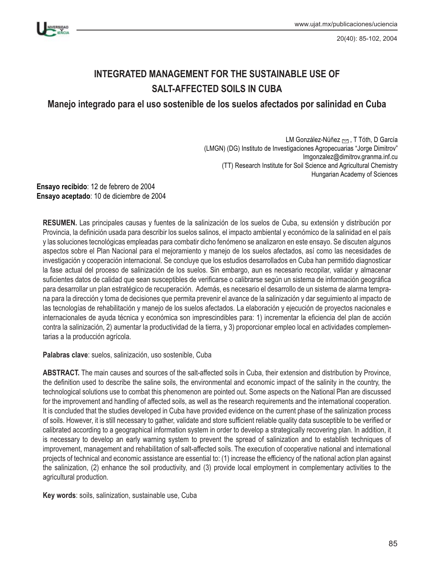

20(40): 85-102, 2004

# **INTEGRATED MANAGEMENT FOR THE SUSTAINABLE USE OF SALT-AFFECTED SOILS IN CUBA**

**Manejo integrado para el uso sostenible de los suelos afectados por salinidad en Cuba**

LM González-Núñez  $\sim$ , T Tóth, D García (LMGN) (DG) Instituto de Investigaciones Agropecuarias "Jorge Dimitrov" lmgonzalez@dimitrov.granma.inf.cu (TT) Research Institute for Soil Science and Agricultural Chemistry Hungarian Academy of Sciences

**Ensayo recibido**: 12 de febrero de 2004 **Ensayo aceptado**: 10 de diciembre de 2004

**RESUMEN.** Las principales causas y fuentes de la salinización de los suelos de Cuba, su extensión y distribución por Provincia, la definición usada para describir los suelos salinos, el impacto ambiental y económico de la salinidad en el país y las soluciones tecnológicas empleadas para combatir dicho fenómeno se analizaron en este ensayo. Se discuten algunos aspectos sobre el Plan Nacional para el mejoramiento y manejo de los suelos afectados, así como las necesidades de investigación y cooperación internacional. Se concluye que los estudios desarrollados en Cuba han permitido diagnosticar la fase actual del proceso de salinización de los suelos. Sin embargo, aun es necesario recopilar, validar y almacenar suficientes datos de calidad que sean susceptibles de verificarse o calibrarse según un sistema de información geográfica para desarrollar un plan estratégico de recuperación. Además, es necesario el desarrollo de un sistema de alarma temprana para la dirección y toma de decisiones que permita prevenir el avance de la salinización y dar seguimiento al impacto de las tecnologías de rehabilitación y manejo de los suelos afectados. La elaboración y ejecución de proyectos nacionales e internacionales de ayuda técnica y económica son imprescindibles para: 1) incrementar la eficiencia del plan de acción contra la salinización, 2) aumentar la productividad de la tierra, y 3) proporcionar empleo local en actividades complementarias a la producción agrícola.

**Palabras clave**: suelos, salinización, uso sostenible, Cuba

**ABSTRACT.** The main causes and sources of the salt-affected soils in Cuba, their extension and distribution by Province, the definition used to describe the saline soils, the environmental and economic impact of the salinity in the country, the technological solutions use to combat this phenomenon are pointed out. Some aspects on the National Plan are discussed for the improvement and handling of affected soils, as well as the research requirements and the international cooperation. It is concluded that the studies developed in Cuba have provided evidence on the current phase of the salinization process of soils. However, it is still necessary to gather, validate and store sufficient reliable quality data susceptible to be verified or calibrated according to a geographical information system in order to develop a strategically recovering plan. In addition, it is necessary to develop an early warning system to prevent the spread of salinization and to establish techniques of improvement, management and rehabilitation of salt-affected soils. The execution of cooperative national and international projects of technical and economic assistance are essential to: (1) increase the efficiency of the national action plan against the salinization, (2) enhance the soil productivity, and (3) provide local employment in complementary activities to the agricultural production.

**Key words**: soils, salinization, sustainable use, Cuba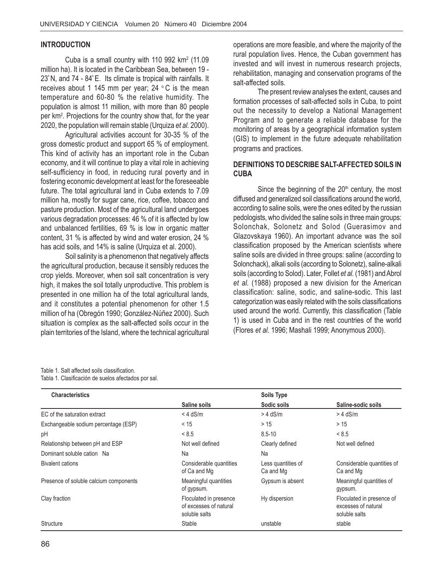#### **INTRODUCTION**

Cuba is a small country with 110 992  $km<sup>2</sup>$  (11.09 million ha). It is located in the Caribbean Sea, between 19 - 23º N, and 74 - 84º E. Its climate is tropical with rainfalls. It receives about 1 145 mm per year;  $24 \degree C$  is the mean temperature and 60-80 % the relative humidity. The population is almost 11 million, with more than 80 people per km<sup>2</sup>. Projections for the country show that, for the year 2020, the population will remain stable (Urquiza *et al.* 2000).

Agricultural activities account for 30-35 % of the gross domestic product and support 65 % of employment. This kind of activity has an important role in the Cuban economy, and it will continue to play a vital role in achieving self-sufficiency in food, in reducing rural poverty and in fostering economic development at least for the foreseeable future. The total agricultural land in Cuba extends to 7.09 million ha, mostly for sugar cane, rice, coffee, tobacco and pasture production. Most of the agricultural land undergoes various degradation processes: 46 % of it is affected by low and unbalanced fertilities, 69 % is low in organic matter content, 31 % is affected by wind and water erosion, 24 % has acid soils, and 14% is saline (Urquiza et al. 2000).

Soil salinity is a phenomenon that negatively affects the agricultural production, because it sensibly reduces the crop yields. Moreover, when soil salt concentration is very high, it makes the soil totally unproductive. This problem is presented in one million ha of the total agricultural lands, and it constitutes a potential phenomenon for other 1.5 million of ha (Obregón 1990; González-Núñez 2000). Such situation is complex as the salt-affected soils occur in the plain territories of the Island, where the technical agricultural operations are more feasible, and where the majority of the rural population lives. Hence, the Cuban government has invested and will invest in numerous research projects, rehabilitation, managing and conservation programs of the salt-affected soils.

The present review analyses the extent, causes and formation processes of salt-affected soils in Cuba, to point out the necessity to develop a National Management Program and to generate a reliable database for the monitoring of areas by a geographical information system (GIS) to implement in the future adequate rehabilitation programs and practices.

#### **DEFINITIONS TO DESCRIBE SALT-AFFECTED SOILS IN CUBA**

Since the beginning of the  $20<sup>th</sup>$  century, the most diffused and generalized soil classifications around the world, according to saline soils, were the ones edited by the russian pedologists, who divided the saline soils in three main groups: Solonchak, Solonetz and Solod (Guerasimov and Glazovskaya 1960). An important advance was the soil classification proposed by the American scientists where saline soils are divided in three groups: saline (according to Solonchack), alkali soils (according to Solonetz), saline-alkali soils (according to Solod). Later, Follet *et al.* (1981) and Abrol *et al.* (1988) proposed a new division for the American classification: saline, sodic, and saline-sodic. This last categorization was easily related with the soils classifications used around the world. Currently, this classification (Table 1) is used in Cuba and in the rest countries of the world (Flores *et al*. 1996; Mashali 1999; Anonymous 2000).

Table 1. Salt affected soils classification.

Tabla 1. Clasificación de suelos afectados por sal.

| <b>Characteristics</b>                 |                                                                   | <b>Soils Type</b>               |                                                                   |
|----------------------------------------|-------------------------------------------------------------------|---------------------------------|-------------------------------------------------------------------|
|                                        | Saline soils                                                      | Sodic soils                     | Saline-sodic soils                                                |
| EC of the saturation extract           | $<$ 4 dS/m                                                        | $> 4$ dS/m                      | $>$ 4 dS/m                                                        |
| Exchangeable sodium percentage (ESP)   | < 15                                                              | > 15                            | > 15                                                              |
| pH                                     | < 8.5                                                             | $8.5 - 10$                      | < 8.5                                                             |
| Relationship between pH and ESP        | Not well defined                                                  | Clearly defined                 | Not well defined                                                  |
| Dominant soluble cation Na             | Na                                                                | Na                              |                                                                   |
| Bivalent cations                       | Considerable quantities<br>of Ca and Mg                           | Less quantities of<br>Ca and Mg | Considerable quantities of<br>Ca and Mg                           |
| Presence of soluble calcium components | Meaningful quantities<br>of gypsum.                               | Gypsum is absent                | Meaningful quantities of<br>gypsum.                               |
| Clay fraction                          | Floculated in presence<br>of excesses of natural<br>soluble salts | Hy dispersion                   | Floculated in presence of<br>excesses of natural<br>soluble salts |
| Structure                              | Stable                                                            | unstable                        | stable                                                            |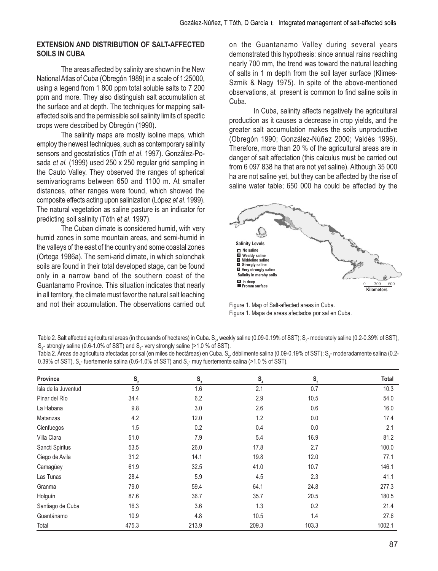#### **EXTENSION AND DISTRIBUTION OF SALT-AFFECTED SOILS IN CUBA**

The areas affected by salinity are shown in the New National Atlas of Cuba (Obregón 1989) in a scale of 1:25000, using a legend from 1 800 ppm total soluble salts to 7 200 ppm and more. They also distinguish salt accumulation at the surface and at depth. The techniques for mapping saltaffected soils and the permissible soil salinity limits of specific crops were described by Obregón (1990).

The salinity maps are mostly isoline maps, which employ the newest techniques, such as contemporary salinity sensors and geostatistics (Tóth *et al*. 1997). González-Posada *et al.* (1999) used 250 x 250 regular grid sampling in the Cauto Valley. They observed the ranges of spherical semivariograms between 650 and 1100 m. At smaller distances, other ranges were found, which showed the composite effects acting upon salinization (López *et al*. 1999). The natural vegetation as saline pasture is an indicator for predicting soil salinity (Tóth *et al*. 1997).

The Cuban climate is considered humid, with very humid zones in some mountain areas, and semi-humid in the valleys of the east of the country and some coastal zones (Ortega 1986a). The semi-arid climate, in which solonchak soils are found in their total developed stage, can be found only in a narrow band of the southern coast of the Guantanamo Province. This situation indicates that nearly in all territory, the climate must favor the natural salt leaching and not their accumulation. The observations carried out on the Guantanamo Valley during several years demonstrated this hypothesis: since annual rains reaching nearly 700 mm, the trend was toward the natural leaching of salts in 1 m depth from the soil layer surface (Klimes-Szmik & Nagy 1975). In spite of the above-mentioned observations, at present is common to find saline soils in Cuba.

In Cuba, salinity affects negatively the agricultural production as it causes a decrease in crop yields, and the greater salt accumulation makes the soils unproductive (Obregón 1990; González-Núñez 2000; Valdés 1996). Therefore, more than 20 % of the agricultural areas are in danger of salt affectation (this calculus must be carried out from 6 097 838 ha that are not yet saline). Although 35 000 ha are not saline yet, but they can be affected by the rise of saline water table; 650 000 ha could be affected by the



Figure 1. Map of Salt-affected areas in Cuba. Figura 1. Mapa de areas afectados por sal en Cuba.

Table 2. Salt affected agricultural areas (in thousands of hectares) in Cuba.  $\mathsf{S}_2$ , weekly saline (0.09-0.19% of SST);  $\mathsf{S}_3$ - moderately saline (0.2-0.39% of SST),  $\mathsf{S}_{\scriptscriptstyle{4}}$ - strongly saline (0.6-1.0% of SST) and  $\mathsf{S}_{\scriptscriptstyle{5}}$ - very strongly saline (>1.0 % of SST).

Tabla 2. Áreas de agricultura afectadas por sal (en miles de hectáreas) en Cuba. S<sub>2</sub>, débilmente salina (0.09-0.19% of SST); S<sub>3</sub>- moderadamente salina (0.2-0.39% of SST),  $\rm S_{4}$ - fuertemente salina (0.6-1.0% of SST) and  $\rm S_{5}$ - muy fuertemente salina (>1.0 % of SST).

| <b>Province</b>     | $\mathbb{S}_{_{2}}$ | $\mathbb{S}^{}_{_{3}}$ | S <sub>4</sub> | $\mathbf{S}_{\mathbf{s}}$ | Total  |
|---------------------|---------------------|------------------------|----------------|---------------------------|--------|
| Isla de la Juventud | 5.9                 | 1.6                    | 2.1            | 0.7                       | 10.3   |
| Pinar del Río       | 34.4                | 6.2                    | 2.9            | 10.5                      | 54.0   |
| La Habana           | 9.8                 | 3.0                    | 2.6            | 0.6                       | 16.0   |
| Matanzas            | 4.2                 | 12.0                   | 1.2            | 0.0                       | 17.4   |
| Cienfuegos          | 1.5                 | 0.2                    | 0.4            | 0.0                       | 2.1    |
| Villa Clara         | 51.0                | 7.9                    | 5.4            | 16.9                      | 81.2   |
| Sancti Spiritus     | 53.5                | 26.0                   | 17.8           | 2.7                       | 100.0  |
| Ciego de Avila      | 31.2                | 14.1                   | 19.8           | 12.0                      | 77.1   |
| Camagüey            | 61.9                | 32.5                   | 41.0           | 10.7                      | 146.1  |
| Las Tunas           | 28.4                | 5.9                    | 4.5            | 2.3                       | 41.1   |
| Granma              | 79.0                | 59.4                   | 64.1           | 24.8                      | 277.3  |
| Holguín             | 87.6                | 36.7                   | 35.7           | 20.5                      | 180.5  |
| Santiago de Cuba    | 16.3                | 3.6                    | 1.3            | 0.2                       | 21.4   |
| Guantánamo          | 10.9                | 4.8                    | 10.5           | 1.4                       | 27.6   |
| Total               | 475.3               | 213.9                  | 209.3          | 103.3                     | 1002.1 |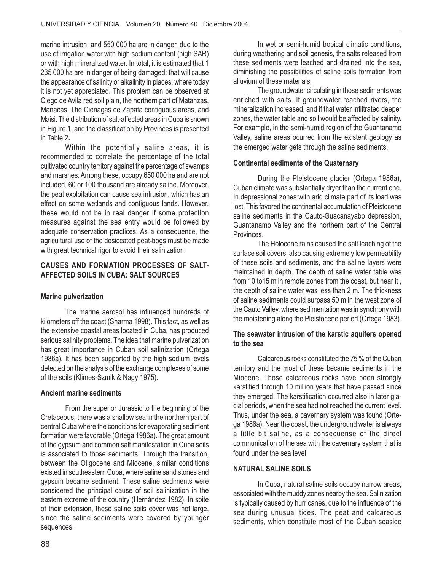marine intrusion; and 550 000 ha are in danger, due to the use of irrigation water with high sodium content (high SAR) or with high mineralized water. In total, it is estimated that 1 235 000 ha are in danger of being damaged; that will cause the appearance of salinity or alkalinity in places, where today it is not yet appreciated. This problem can be observed at Ciego de Avila red soil plain, the northern part of Matanzas, Manacas, The Cienagas de Zapata contiguous areas, and Maisi. The distribution of salt-affected areas in Cuba is shown in Figure 1, and the classification by Provinces is presented in Table 2**.**

Within the potentially saline areas, it is recommended to correlate the percentage of the total cultivated country territory against the percentage of swamps and marshes. Among these, occupy 650 000 ha and are not included, 60 or 100 thousand are already saline. Moreover, the peat exploitation can cause sea intrusion, which has an effect on some wetlands and contiguous lands. However, these would not be in real danger if some protection measures against the sea entry would be followed by adequate conservation practices. As a consequence, the agricultural use of the desiccated peat-bogs must be made with great technical rigor to avoid their salinization.

## **CAUSES AND FORMATION PROCESSES OF SALT-AFFECTED SOILS IN CUBA: SALT SOURCES**

#### **Marine pulverization**

The marine aerosol has influenced hundreds of kilometers off the coast (Sharma 1998). This fact, as well as the extensive coastal areas located in Cuba, has produced serious salinity problems. The idea that marine pulverization has great importance in Cuban soil salinization (Ortega 1986a). It has been supported by the high sodium levels detected on the analysis of the exchange complexes of some of the soils (Klimes-Szmik & Nagy 1975).

#### **Ancient marine sediments**

From the superior Jurassic to the beginning of the Cretaceous, there was a shallow sea in the northern part of central Cuba where the conditions for evaporating sediment formation were favorable (Ortega 1986a). The great amount of the gypsum and common salt manifestation in Cuba soils is associated to those sediments. Through the transition, between the Oligocene and Miocene, similar conditions existed in southeastern Cuba, where saline sand stones and gypsum became sediment. These saline sediments were considered the principal cause of soil salinization in the eastern extreme of the country (Hernández 1982). In spite of their extension, these saline soils cover was not large, since the saline sediments were covered by younger sequences.

In wet or semi-humid tropical climatic conditions, during weathering and soil genesis, the salts released from these sediments were leached and drained into the sea, diminishing the possibilities of saline soils formation from alluvium of these materials.

The groundwater circulating in those sediments was enriched with salts. If groundwater reached rivers, the mineralization increased, and if that water infiltrated deeper zones, the water table and soil would be affected by salinity. For example, in the semi-humid region of the Guantanamo Valley, saline areas ocurred from the existent geology as the emerged water gets through the saline sediments.

#### **Continental sediments of the Quaternary**

During the Pleistocene glacier (Ortega 1986a), Cuban climate was substantially dryer than the current one. In depressional zones with arid climate part of its load was lost. This favored the continental accumulation of Pleistocene saline sediments in the Cauto-Guacanayabo depression, Guantanamo Valley and the northern part of the Central **Provinces** 

The Holocene rains caused the salt leaching of the surface soil covers, also causing extremely low permeability of these soils and sediments, and the saline layers were maintained in depth. The depth of saline water table was from 10 to15 m in remote zones from the coast, but near it , the depth of saline water was less than 2 m. The thickness of saline sediments could surpass 50 m in the west zone of the Cauto Valley, where sedimentation was in synchrony with the moistening along the Pleistocene period (Ortega 1983).

#### **The seawater intrusion of the karstic aquifers opened to the sea**

Calcareous rocks constituted the 75 % of the Cuban territory and the most of these became sediments in the Miocene. Those calcareous rocks have been strongly karstified through 10 million years that have passed since they emerged. The karstification occurred also in later glacial periods, when the sea had not reached the current level. Thus, under the sea, a cavernary system was found (Ortega 1986a). Near the coast, the underground water is always a little bit saline, as a consecuense of the direct communication of the sea with the cavernary system that is found under the sea level.

## **NATURAL SALINE SOILS**

In Cuba, natural saline soils occupy narrow areas, associated with the muddy zones nearby the sea. Salinization is typically caused by hurricanes, due to the influence of the sea during unusual tides. The peat and calcareous sediments, which constitute most of the Cuban seaside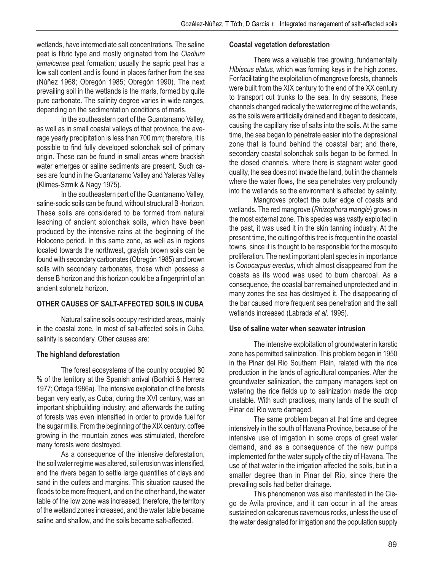wetlands, have intermediate salt concentrations. The saline peat is fibric type and mostly originated from the *Cladium jamaicense* peat formation; usually the sapric peat has a low salt content and is found in places farther from the sea (Núñez 1968; Obregón 1985; Obregón 1990). The next prevailing soil in the wetlands is the marls, formed by quite pure carbonate. The salinity degree varies in wide ranges, depending on the sedimentation conditions of marls.

In the southeastern part of the Guantanamo Valley, as well as in small coastal valleys of that province, the average yearly precipitation is less than 700 mm; therefore, it is possible to find fully developed solonchak soil of primary origin. These can be found in small areas where brackish water emerges or saline sediments are present. Such cases are found in the Guantanamo Valley and Yateras Valley (Klimes-Szmik & Nagy 1975).

In the southeastern part of the Guantanamo Valley, saline-sodic soils can be found, without structural B -horizon. These soils are considered to be formed from natural leaching of ancient solonchak soils, which have been produced by the intensive rains at the beginning of the Holocene period. In this same zone, as well as in regions located towards the northwest, grayish brown soils can be found with secondary carbonates (Obregón 1985) and brown soils with secondary carbonates, those which possess a dense B horizon and this horizon could be a fingerprint of an ancient solonetz horizon.

## **OTHER CAUSES OF SALT-AFFECTED SOILS IN CUBA**

Natural saline soils occupy restricted areas, mainly in the coastal zone. In most of salt-affected soils in Cuba, salinity is secondary. Other causes are:

## **The highland deforestation**

The forest ecosystems of the country occupied 80 % of the territory at the Spanish arrival (Borhidi & Herrera 1977; Ortega 1986a). The intensive exploitation of the forests began very early, as Cuba, during the XVI century, was an important shipbuilding industry; and afterwards the cutting of forests was even intensified in order to provide fuel for the sugar mills. From the beginning of the XIX century, coffee growing in the mountain zones was stimulated, therefore many forests were destroyed.

As a consequence of the intensive deforestation, the soil water regime was altered, soil erosion was intensified, and the rivers began to settle large quantities of clays and sand in the outlets and margins. This situation caused the floods to be more frequent, and on the other hand, the water table of the low zone was increased; therefore, the territory of the wetland zones increased, and the water table became saline and shallow, and the soils became salt-affected.

#### **Coastal vegetation deforestation**

There was a valuable tree growing, fundamentally *Hibiscus elatus*, which was forming keys in the high zones. For facilitating the exploitation of mangrove forests, channels were built from the XIX century to the end of the XX century to transport cut trunks to the sea. In dry seasons, these channels changed radically the water regime of the wetlands, as the soils were artificially drained and it began to desiccate, causing the capillary rise of salts into the soils. At the same time, the sea began to penetrate easier into the depresional zone that is found behind the coastal bar; and there, secondary coastal solonchak soils began to be formed. In the closed channels, where there is stagnant water good quality, the sea does not invade the land, but in the channels where the water flows, the sea penetrates very profoundly into the wetlands so the environment is affected by salinity.

Mangroves protect the outer edge of coasts and wetlands. The red mangrove (*Rhizophora mangle*) grows in the most external zone. This species was vastly exploited in the past, it was used it in the skin tanning industry. At the present time, the cutting of this tree is frequent in the coastal towns, since it is thought to be responsible for the mosquito proliferation. The next important plant species in importance is *Conocarpus erectus*, which almost disappeared from the coasts as its wood was used to bum charcoal. As a consequence, the coastal bar remained unprotected and in many zones the sea has destroyed it. The disappearing of the bar caused more frequent sea penetration and the salt wetlands increased (Labrada *et al*. 1995).

#### **Use of saline water when seawater intrusion**

The intensive exploitation of groundwater in karstic zone has permitted salinization. This problem began in 1950 in the Pinar del Rio Southern Plain, related with the rice production in the lands of agricultural companies. After the groundwater salinization, the company managers kept on watering the rice fields up to salinization made the crop unstable. With such practices, many lands of the south of Pinar del Rio were damaged.

The same problem began at that time and degree intensively in the south of Havana Province, because of the intensive use of irrigation in some crops of great water demand, and as a consequence of the new pumps implemented for the water supply of the city of Havana. The use of that water in the irrigation affected the soils, but in a smaller degree than in Pinar del Rio, since there the prevailing soils had better drainage.

This phenomenon was also manifested in the Ciego de Avila province, and it can occur in all the areas sustained on calcareous cavernous rocks, unless the use of the water designated for irrigation and the population supply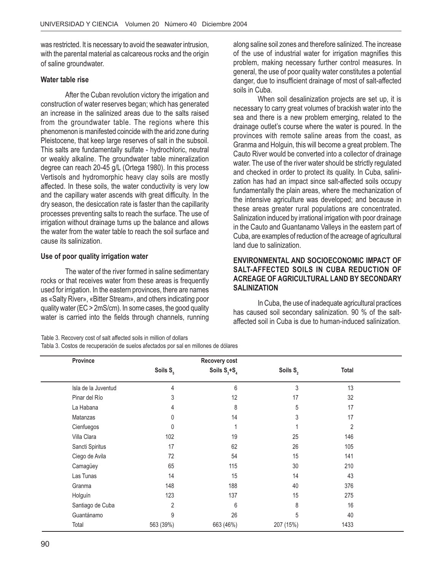was restricted. It is necessary to avoid the seawater intrusion, with the parental material as calcareous rocks and the origin of saline groundwater.

#### **Water table rise**

After the Cuban revolution victory the irrigation and construction of water reserves began; which has generated an increase in the salinized areas due to the salts raised from the groundwater table. The regions where this phenomenon is manifested coincide with the arid zone during Pleistocene, that keep large reserves of salt in the subsoil. This salts are fundamentally sulfate - hydrochloric, neutral or weakly alkaline. The groundwater table mineralization degree can reach 20-45 g/L (Ortega 1980). In this process Vertisols and hydromorphic heavy clay soils are mostly affected. In these soils, the water conductivity is very low and the capillary water ascends with great difficulty. In the dry season, the desiccation rate is faster than the capillarity processes preventing salts to reach the surface. The use of irrigation without drainage turns up the balance and allows the water from the water table to reach the soil surface and cause its salinization.

#### **Use of poor quality irrigation water**

The water of the river formed in saline sedimentary rocks or that receives water from these areas is frequently used for irrigation. In the eastern provinces, there are names as «Salty River», «Bitter Stream», and others indicating poor quality water (EC > 2mS/cm). In some cases, the good quality water is carried into the fields through channels, running along saline soil zones and therefore salinized. The increase of the use of industrial water for irrigation magnifies this problem, making necessary further control measures. In general, the use of poor quality water constitutes a potential danger, due to insufficient drainage of most of salt-affected soils in Cuba.

When soil desalinization projects are set up, it is necessary to carry great volumes of brackish water into the sea and there is a new problem emerging, related to the drainage outlet's course where the water is poured. In the provinces with remote saline areas from the coast, as Granma and Holguin, this will become a great problem. The Cauto River would be converted into a collector of drainage water. The use of the river water should be strictly regulated and checked in order to protect its quality. In Cuba, salinization has had an impact since salt-affected soils occupy fundamentally the plain areas, where the mechanization of the intensive agriculture was developed; and because in these areas greater rural populations are concentrated. Salinization induced by irrational irrigation with poor drainage in the Cauto and Guantanamo Valleys in the eastern part of Cuba, are examples of reduction of the acreage of agricultural land due to salinization.

#### **ENVIRONMENTAL AND SOCIOECONOMIC IMPACT OF SALT-AFFECTED SOILS IN CUBA REDUCTION OF ACREAGE OF AGRICULTURAL LAND BY SECONDARY SALINIZATION**

In Cuba, the use of inadequate agricultural practices has caused soil secondary salinization. 90 % of the saltaffected soil in Cuba is due to human-induced salinization.

#### Table 3. Recovery cost of salt affected soils in million of dollars

Tabla 3. Costos de recuperación de suelos afectados por sal en millones de dólares

| <b>Province</b>     |               | Recovery cost     |                      |                |  |
|---------------------|---------------|-------------------|----------------------|----------------|--|
|                     | Soils $S_{s}$ | Soils $S_3 + S_4$ | Soils S <sub>2</sub> | <b>Total</b>   |  |
| Isla de la Juventud | 4             | 6                 | 3                    | 13             |  |
| Pinar del Río       | 3             | 12                | 17                   | 32             |  |
| La Habana           | 4             | 8                 | 5                    | 17             |  |
| Matanzas            | 0             | 14                | 3                    | 17             |  |
| Cienfuegos          | 0             | 1                 |                      | $\overline{2}$ |  |
| Villa Clara         | 102           | 19                | 25                   | 146            |  |
| Sancti Spiritus     | 17            | 62                | 26                   | 105            |  |
| Ciego de Avila      | 72            | 54                | 15                   | 141            |  |
| Camagüey            | 65            | 115               | 30                   | 210            |  |
| Las Tunas           | 14            | 15                | 14                   | 43             |  |
| Granma              | 148           | 188               | 40                   | 376            |  |
| Holguín             | 123           | 137               | 15                   | 275            |  |
| Santiago de Cuba    | 2             | 6                 | 8                    | 16             |  |
| Guantánamo          | 9             | 26                | 5                    | 40             |  |
| Total               | 563 (39%)     | 663 (46%)         | 207 (15%)            | 1433           |  |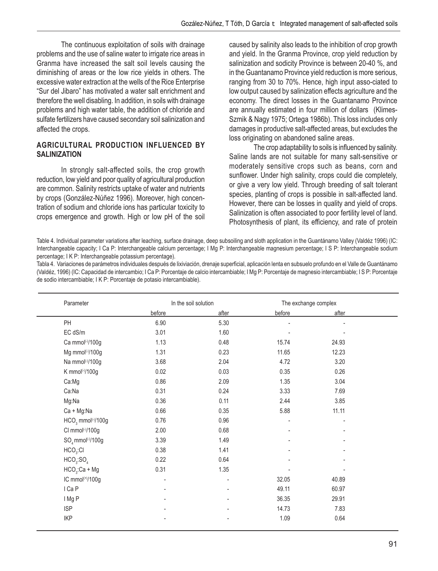The continuous exploitation of soils with drainage problems and the use of saline water to irrigate rice areas in Granma have increased the salt soil levels causing the diminishing of areas or the low rice yields in others. The excessive water extraction at the wells of the Rice Enterprise "Sur del Jibaro" has motivated a water salt enrichment and therefore the well disabling. In addition, in soils with drainage problems and high water table, the addition of chloride and sulfate fertilizers have caused secondary soil salinization and affected the crops.

## **AGRICULTURAL PRODUCTION INFLUENCED BY SALINIZATION**

In strongly salt-affected soils, the crop growth reduction, low yield and poor quality of agricultural production are common. Salinity restricts uptake of water and nutrients by crops (González-Núñez 1996). Moreover, high concentration of sodium and chloride ions has particular toxicity to crops emergence and growth. High or low pH of the soil

caused by salinity also leads to the inhibition of crop growth and yield. In the Granma Province, crop yield reduction by salinization and sodicity Province is between 20-40 %, and in the Guantanamo Province yield reduction is more serious, ranging from 30 to 70%. Hence, high input asso-ciated to low output caused by salinization effects agriculture and the economy. The direct losses in the Guantanamo Province are annually estimated in four million of dollars (Klimes-Szmik & Nagy 1975; Ortega 1986b). This loss includes only damages in productive salt-affected areas, but excludes the loss originating on abandoned saline areas.

The crop adaptability to soils is influenced by salinity. Saline lands are not suitable for many salt-sensitive or moderately sensitive crops such as beans, corn and sunflower. Under high salinity, crops could die completely, or give a very low yield. Through breeding of salt tolerant species, planting of crops is possible in salt-affected land. However, there can be losses in quality and yield of crops. Salinization is often associated to poor fertility level of land. Photosynthesis of plant, its efficiency, and rate of protein

Table 4. Individual parameter variations after leaching, surface drainage, deep subsoiling and sloth application in the Guantánamo Valley (Valdéz 1996) (IC: Interchangeable capacity; I Ca P: Interchangeable calcium percentage; I Mg P: Interchangeable magnesium percentage; I S P: Interchangeable sodium percentage; I K P: Interchangeable potassium percentage).

Tabla 4. Variaciones de parámetros individuales después de lixiviación, drenaje superficial, aplicación lenta en subsuelo profundo en el Valle de Guantánamo (Valdéz, 1996) (IC: Capacidad de intercambio; I Ca P: Porcentaje de calcio intercambiable; I Mg P: Porcentaje de magnesio intercambiable; I S P: Porcentaje de sodio intercambiable; I K P: Porcentaje de potasio intercambiable).

| Parameter                                  |        | In the soil solution | The exchange complex |       |  |
|--------------------------------------------|--------|----------------------|----------------------|-------|--|
|                                            | before | after                | before               | after |  |
| PH                                         | 6.90   | 5.30                 |                      |       |  |
| EC dS/m                                    | 3.01   | 1.60                 |                      |       |  |
| Ca mmol <sup>(-)</sup> /100g               | 1.13   | 0.48                 | 15.74                | 24.93 |  |
| Mg mmol <sup>(-)</sup> /100g               | 1.31   | 0.23                 | 11.65                | 12.23 |  |
| Na mmol <sup>(-)</sup> /100g               | 3.68   | 2.04                 | 4.72                 | 3.20  |  |
| K mmol <sup>(-)</sup> /100g                | 0.02   | 0.03                 | 0.35                 | 0.26  |  |
| Ca:Mg                                      | 0.86   | 2.09                 | 1.35                 | 3.04  |  |
| Ca:Na                                      | 0.31   | 0.24                 | 3.33                 | 7.69  |  |
| Mg:Na                                      | 0.36   | 0.11                 | 2.44                 | 3.85  |  |
| Ca + Mg:Na                                 | 0.66   | 0.35                 | 5.88                 | 11.11 |  |
| HCO <sub>3</sub> mmol <sup>(-)</sup> /100g | 0.76   | 0.96                 |                      |       |  |
| CI mmol <sup>(-)</sup> /100g               | 2.00   | 0.68                 |                      |       |  |
| $SO_a$ mmol <sup>(-)</sup> /100g           | 3.39   | 1.49                 |                      |       |  |
| HCO <sub>3</sub> :Cl                       | 0.38   | 1.41                 |                      |       |  |
| HCO <sub>3</sub> :SO <sub>4</sub>          | 0.22   | 0.64                 |                      |       |  |
| $HCO3:Ca + Mg$                             | 0.31   | 1.35                 |                      |       |  |
| IC mmol <sup>(+)</sup> /100g               | ÷      |                      | 32.05                | 40.89 |  |
| I Ca P                                     |        |                      | 49.11                | 60.97 |  |
| I Mg P                                     |        |                      | 36.35                | 29.91 |  |
| <b>ISP</b>                                 |        |                      | 14.73                | 7.83  |  |
| <b>IKP</b>                                 |        |                      | 1.09                 | 0.64  |  |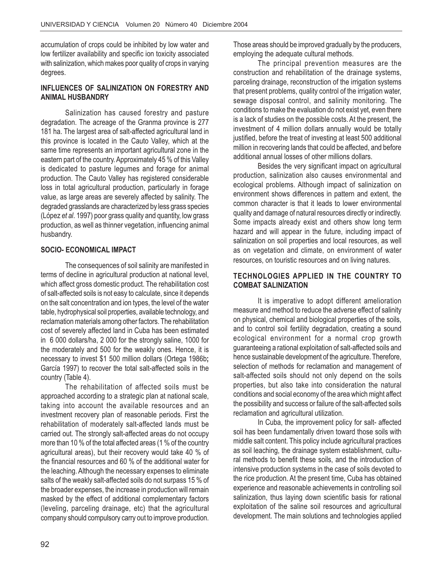accumulation of crops could be inhibited by low water and low fertilizer availability and specific ion toxicity associated with salinization, which makes poor quality of crops in varying degrees.

## **INFLUENCES OF SALINIZATION ON FORESTRY AND ANIMAL HUSBANDRY**

Salinization has caused forestry and pasture degradation. The acreage of the Granma province is 277 181 ha. The largest area of salt-affected agricultural land in this province is located in the Cauto Valley, which at the same time represents an important agricultural zone in the eastern part of the country. Approximately 45 % of this Valley is dedicated to pasture legumes and forage for animal production. The Cauto Valley has registered considerable loss in total agricultural production, particularly in forage value, as large areas are severely affected by salinity. The degraded grasslands are characterized by less grass species (López *et al*. 1997) poor grass quality and quantity, low grass production, as well as thinner vegetation, influencing animal husbandry.

## **SOCIO- ECONOMICAL IMPACT**

The consequences of soil salinity are manifested in terms of decline in agricultural production at national level, which affect gross domestic product. The rehabilitation cost of salt-affected soils is not easy to calculate, since it depends on the salt concentration and ion types, the level of the water table, hydrophysical soil properties, available technology, and reclamation materials among other factors. The rehabilitation cost of severely affected land in Cuba has been estimated in 6 000 dollars/ha, 2 000 for the strongly saline, 1000 for the moderately and 500 for the weakly ones. Hence, it is necessary to invest \$1 500 million dollars (Ortega 1986b**;** García 1997) to recover the total salt-affected soils in the country (Table 4).

The rehabilitation of affected soils must be approached according to a strategic plan at national scale, taking into account the available resources and an investment recovery plan of reasonable periods. First the rehabilitation of moderately salt-affected lands must be carried out. The strongly salt-affected areas do not occupy more than 10 % of the total affected areas (1 % of the country agricultural areas), but their recovery would take 40 % of the financial resources and 60 % of the additional water for the leaching. Although the necessary expenses to eliminate salts of the weakly salt-affected soils do not surpass 15 % of the broader expenses, the increase in production will remain masked by the effect of additional complementary factors (leveling, parceling drainage, etc) that the agricultural company should compulsory carry out to improve production.

Those areas should be improved gradually by the producers, employing the adequate cultural methods.

The principal prevention measures are the construction and rehabilitation of the drainage systems, parceling drainage, reconstruction of the irrigation systems that present problems, quality control of the irrigation water, sewage disposal control, and salinity monitoring. The conditions to make the evaluation do not exist yet, even there is a lack of studies on the possible costs. At the present, the investment of 4 million dollars annually would be totally justified, before the treat of investing at least 500 additional million in recovering lands that could be affected, and before additional annual losses of other millions dollars.

Besides the very significant impact on agricultural production, salinization also causes environmental and ecological problems. Although impact of salinization on environment shows differences in pattern and extent, the common character is that it leads to lower environmental quality and damage of natural resources directly or indirectly. Some impacts already exist and others show long term hazard and will appear in the future, including impact of salinization on soil properties and local resources, as well as on vegetation and climate, on environment of water resources, on touristic resources and on living natures.

## **TECHNOLOGIES APPLIED IN THE COUNTRY TO COMBAT SALINIZATION**

It is imperative to adopt different amelioration measure and method to reduce the adverse effect of salinity on physical, chemical and biological properties of the soils, and to control soil fertility degradation, creating a sound ecological environment for a normal crop growth guaranteeing a rational exploitation of salt-affected soils and hence sustainable development of the agriculture. Therefore, selection of methods for reclamation and management of salt-affected soils should not only depend on the soils properties, but also take into consideration the natural conditions and social economy of the area which might affect the possibility and success or failure of the salt-affected soils reclamation and agricultural utilization.

In Cuba, the improvement policy for salt- affected soil has been fundamentally driven toward those soils with middle salt content. This policy include agricultural practices as soil leaching, the drainage system establishment, cultural methods to benefit these soils, and the introduction of intensive production systems in the case of soils devoted to the rice production. At the present time, Cuba has obtained experience and reasonable achievements in controlling soil salinization, thus laying down scientific basis for rational exploitation of the saline soil resources and agricultural development. The main solutions and technologies applied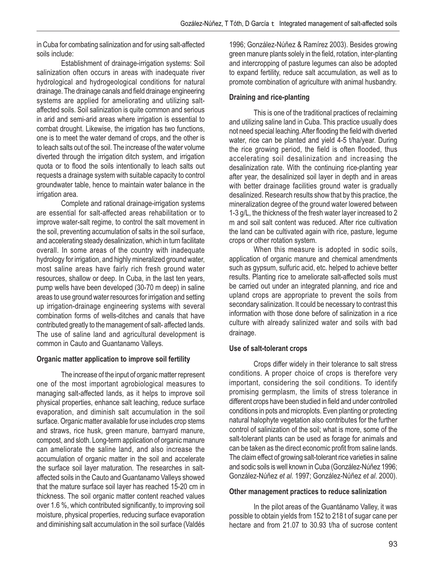in Cuba for combating salinization and for using salt-affected soils include:

Establishment of drainage-irrigation systems: Soil salinization often occurs in areas with inadequate river hydrological and hydrogeological conditions for natural drainage. The drainage canals and field drainage engineering systems are applied for ameliorating and utilizing saltaffected soils. Soil salinization is quite common and serious in arid and semi-arid areas where irrigation is essential to combat drought. Likewise, the irrigation has two functions, one is to meet the water demand of crops, and the other is to leach salts out of the soil. The increase of the water volume diverted through the irrigation ditch system, and irrigation quota or to flood the soils intentionally to leach salts out requests a drainage system with suitable capacity to control groundwater table, hence to maintain water balance in the irrigation area.

Complete and rational drainage-irrigation systems are essential for salt-affected areas rehabilitation or to improve water-salt regime, to control the salt movement in the soil, preventing accumulation of salts in the soil surface, and accelerating steady desalinization, which in turn facilitate overall. In some areas of the country with inadequate hydrology for irrigation, and highly mineralized ground water, most saline areas have fairly rich fresh ground water resources, shallow or deep. In Cuba, in the last ten years, pump wells have been developed (30-70 m deep) in saline areas to use ground water resources for irrigation and setting up irrigation-drainage engineering systems with several combination forms of wells-ditches and canals that have contributed greatly to the management of salt- affected lands. The use of saline land and agricultural development is common in Cauto and Guantanamo Valleys.

## **Organic matter application to improve soil fertility**

The increase of the input of organic matter represent one of the most important agrobiological measures to managing salt-affected lands, as it helps to improve soil physical properties, enhance salt leaching, reduce surface evaporation, and diminish salt accumulation in the soil surface. Organic matter available for use includes crop stems and straws, rice husk, green manure, barnyard manure, compost, and sloth. Long-term application of organic manure can ameliorate the saline land, and also increase the accumulation of organic matter in the soil and accelerate the surface soil layer maturation. The researches in saltaffected soils in the Cauto and Guantanamo Valleys showed that the mature surface soil layer has reached 15-20 cm in thickness. The soil organic matter content reached values over 1.6 %, which contributed significantly, to improving soil moisture, physical properties, reducing surface evaporation and diminishing salt accumulation in the soil surface (Valdés

1996; González-Núñez & Ramírez 2003). Besides growing green manure plants solely in the field, rotation, inter-planting and intercropping of pasture legumes can also be adopted to expand fertility, reduce salt accumulation, as well as to promote combination of agriculture with animal husbandry.

## **Draining and rice-planting**

This is one of the traditional practices of reclaiming and utilizing saline land in Cuba. This practice usually does not need special leaching. After flooding the field with diverted water, rice can be planted and yield 4-5 t/ha/year. During the rice growing period, the field is often flooded, thus accelerating soil desalinization and increasing the desalinization rate. With the continuing rice-planting year after year, the desalinized soil layer in depth and in areas with better drainage facilities ground water is gradually desalinized. Research results show that by this practice, the mineralization degree of the ground water lowered between 1-3 g/L, the thickness of the fresh water layer increased to 2 m and soil salt content was reduced. After rice cultivation the land can be cultivated again with rice, pasture, legume crops or other rotation system.

When this measure is adopted in sodic soils, application of organic manure and chemical amendments such as gypsum, sulfuric acid, etc. helped to achieve better results. Planting rice to ameliorate salt-affected soils must be carried out under an integrated planning, and rice and upland crops are appropriate to prevent the soils from secondary salinization. It could be necessary to contrast this information with those done before of salinization in a rice culture with already salinized water and soils with bad drainage.

## **Use of salt-tolerant crops**

Crops differ widely in their tolerance to salt stress conditions. A proper choice of crops is therefore very important, considering the soil conditions. To identify promising germplasm, the limits of stress tolerance in different crops have been studied in field and under controlled conditions in pots and microplots. Even planting or protecting natural halophyte vegetation also contributes for the further control of salinization of the soil; what is more, some of the salt-tolerant plants can be used as forage for animals and can be taken as the direct economic profit from saline lands. The claim effect of growing salt-tolerant rice varieties in saline and sodic soils is well known in Cuba (González-Núñez 1996; González-Núñez *et al*. 1997; González-Núñez *et al*. 2000).

## **Other management practices to reduce salinization**

In the pilot areas of the Guantánamo Valley, it was possible to obtain yields from 152 to 218 t of sugar cane per hectare and from 21.07 to 30.93 t/ha of sucrose content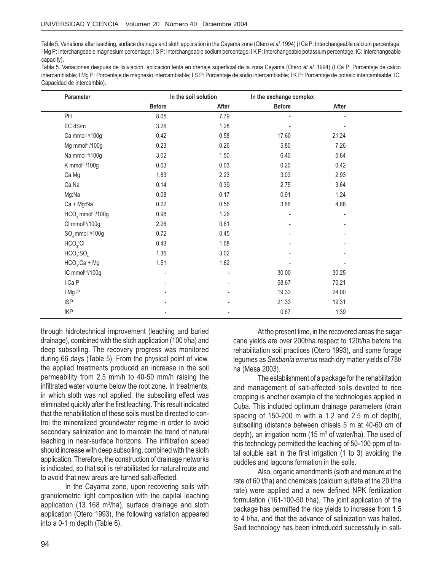Table 5. Variations after leaching, surface drainage and sloth application in the Cayama zone (Otero *et al*. 1994) (I Ca P: Interchangeable calcium percentage; I Mg P: Interchangeable magnesium percentage; I S P: Interchangeable sodium percentage; I K P: Interchangeable potassium percentage; IC: Interchangeable capacity).

Tabla 5. Variaciones después de lixiviación, aplicación lenta en drenaje superficial de la zona Cayama (Otero *et al.* 1994) (I Ca P: Porcentaje de calcio intercambiable; I Mg P: Porcentaje de magnesio intercambiable; I S P: Porcentaje de sodio intercambiable; I K P: Porcentaje de potasio intercambiable; IC: Capacidad de intercambio).

| Parameter                         |               | In the soil solution | In the exchange complex |                          |  |
|-----------------------------------|---------------|----------------------|-------------------------|--------------------------|--|
|                                   | <b>Before</b> | After                | <b>Before</b>           | After                    |  |
| PH                                | 8.05          | 7.79                 |                         | $\overline{\phantom{0}}$ |  |
| EC dS/m                           | 3.26          | 1.28                 |                         |                          |  |
| Ca mmol <sup>(-)</sup> /100g      | 0.42          | 0.58                 | 17.60                   | 21.24                    |  |
| Mg mmol <sup>(-)</sup> /100g      | 0.23          | 0.26                 | 5.80                    | 7.26                     |  |
| Na mmol <sup>(-)</sup> /100g      | 3.02          | 1.50                 | 6.40                    | 5.84                     |  |
| K mmol <sup>(-)</sup> /100g       | 0.03          | 0.03                 | 0.20                    | 0.42                     |  |
| Ca:Mg                             | 1.83          | 2.23                 | 3.03                    | 2.93                     |  |
| Ca:Na                             | 0.14          | 0.39                 | 2.75                    | 3.64                     |  |
| Mg:Na                             | 0.08          | 0.17                 | 0.91                    | 1.24                     |  |
| Ca + Mg:Na                        | 0.22          | 0.56                 | 3.66                    | 4.88                     |  |
| $HCO3$ mmol <sup>(-)</sup> /100g  | 0.98          | 1.26                 |                         | -                        |  |
| CI mmol <sup>(-)</sup> /100g      | 2.26          | 0.81                 |                         |                          |  |
| $SO4$ mmol <sup>(-)</sup> /100g   | 0.72          | 0.45                 |                         |                          |  |
| HCO <sub>3</sub> :Cl              | 0.43          | 1.68                 |                         |                          |  |
| HCO <sub>3</sub> :SO <sub>4</sub> | 1.36          | 3.02                 |                         |                          |  |
| $HCO3:Ca + Mg$                    | 1.51          | 1.62                 |                         |                          |  |
| IC mmol <sup>(+)</sup> /100g      |               | $\overline{a}$       | 30.00                   | 30.25                    |  |
| I Ca P                            |               |                      | 58.67                   | 70.21                    |  |
| I Mg P                            |               |                      | 19.33                   | 24.00                    |  |
| <b>ISP</b>                        |               |                      | 21.33                   | 19.31                    |  |
| <b>IKP</b>                        |               |                      | 0.67                    | 1.39                     |  |

through hidrotechnical improvement (leaching and buried drainage), combined with the sloth application (100 t/ha) and deep subsoiling. The recovery progress was monitored during 66 days (Table 5). From the physical point of view, the applied treatments produced an increase in the soil permeability from 2.5 mm/h to 40-50 mm/h raising the infiltrated water volume below the root zone. In treatments, in which sloth was not applied, the subsoiling effect was eliminated quickly after the first leaching. This result indicated that the rehabilitation of these soils must be directed to control the mineralized groundwater regime in order to avoid secondary salinization and to maintain the trend of natural leaching in near-surface horizons. The infiltration speed should increase with deep subsoiling, combined with the sloth application. Therefore, the construction of drainage networks is indicated, so that soil is rehabilitated for natural route and to avoid that new areas are turned salt-affected.

In the Cayama zone, upon recovering soils with granulometric light composition with the capital leaching application (13 168 m<sup>3</sup>/ha), surface drainage and sloth application (Otero 1993), the following variation appeared into a 0-1 m depth (Table 6).

At the present time, in the recovered areas the sugar cane yields are over 200t/ha respect to 120t/ha before the rehabilitation soil practices (Otero 1993), and some forage legumes as *Sesbania emerus* reach dry matter yields of 78t/ ha (Mesa 2003).

The establishment of a package for the rehabilitation and management of salt-affected soils devoted to rice cropping is another example of the technologies applied in Cuba. This included optimum drainage parameters (drain spacing of 150-200 m with a 1.2 and 2.5 m of depth), subsoiling (distance between chisels 5 m at 40-60 cm of depth), an irrigation norm (15  $m<sup>3</sup>$  of water/ha). The used of this technology permitted the leaching of 50-100 ppm of total soluble salt in the first irrigation (1 to 3) avoiding the puddles and lagoons formation in the soils.

Also, organic amendments (sloth and manure at the rate of 60 t/ha) and chemicals (calcium sulfate at the 20 t/ha rate) were applied and a new defined NPK fertilization formulation (161-100-50 t/ha). The joint application of the package has permitted the rice yields to increase from 1.5 to 4 t/ha, and that the advance of salinization was halted. Said technology has been introduced successfully in salt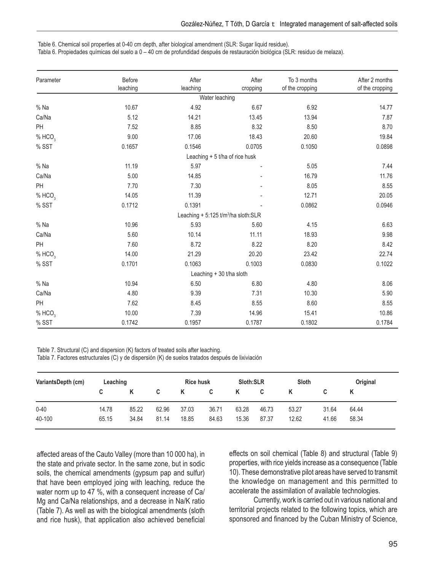Table 6. Chemical soil properties at 0-40 cm depth, after biological amendment (SLR: Sugar liquid residue).

Tabla 6. Propiedades químicas del suelo a 0 – 40 cm de profundidad después de restauración biológica (SLR: residuo de melaza).

| Parameter          | Before<br>leaching | After<br>leaching                               | After<br>cropping              | To 3 months<br>of the cropping | After 2 months<br>of the cropping |
|--------------------|--------------------|-------------------------------------------------|--------------------------------|--------------------------------|-----------------------------------|
|                    |                    | Water leaching                                  |                                |                                |                                   |
| % Na               | 10.67              | 4.92                                            | 6.67                           | 6.92                           | 14.77                             |
| Ca/Na              | 5.12               | 14.21                                           | 13.45                          | 13.94                          | 7.87                              |
| PH                 | 7.52               | 8.85                                            | 8.32                           | 8.50                           | 8.70                              |
| % HCO <sub>3</sub> | 9.00               | 17.06                                           | 18.43                          | 20.60                          | 19.84                             |
| % SST              | 0.1657             | 0.1546                                          | 0.0705                         | 0.1050                         | 0.0898                            |
|                    |                    |                                                 | Leaching + 5 t/ha of rice husk |                                |                                   |
| $%$ Na             | 11.19              | 5.97                                            |                                | 5.05                           | 7.44                              |
| Ca/Na              | 5.00               | 14.85                                           |                                | 16.79                          | 11.76                             |
| PH                 | 7.70               | 7.30                                            |                                | 8.05                           | 8.55                              |
| % HCO <sub>3</sub> | 14.05              | 11.39                                           |                                | 12.71                          | 20.05                             |
| % SST              | 0.1712             | 0.1391                                          |                                | 0.0862                         | 0.0946                            |
|                    |                    | Leaching + 5:125 t/m <sup>3</sup> /ha sloth:SLR |                                |                                |                                   |
| % Na               | 10.96              | 5.93                                            | 5.60                           | 4.15                           | 6.63                              |
| Ca/Na              | 5.60               | 10.14                                           | 11.11                          | 18.93                          | 9.98                              |
| PH                 | 7.60               | 8.72                                            | 8.22                           | 8.20                           | 8.42                              |
| % HCO <sub>3</sub> | 14.00              | 21.29                                           | 20.20                          | 23.42                          | 22.74                             |
| % SST              | 0.1701             | 0.1063                                          | 0.1003                         | 0.0830                         | 0.1022                            |
|                    |                    | Leaching + 30 t/ha sloth                        |                                |                                |                                   |
| $%$ Na             | 10.94              | 6.50                                            | 6.80                           | 4.80                           | 8.06                              |
| Ca/Na              | 4.80               | 9.39                                            | 7.31                           | 10.30                          | 5.90                              |
| PH                 | 7.62               | 8.45                                            | 8.55                           | 8.60                           | 8.55                              |
| % HCO <sub>3</sub> | 10.00              | 7.39                                            | 14.96                          | 15.41                          | 10.86                             |
| % SST              | 0.1742             | 0.1957                                          | 0.1787                         | 0.1802                         | 0.1784                            |

Table 7. Structural (C) and dispersion (K) factors of treated soils after leaching.

Tabla 7. Factores estructurales (C) y de dispersión (K) de suelos tratados después de lixiviación

| VariantsDepth (cm) | Leaching |       |       | <b>Rice husk</b> |       | Sloth:SLR |       | Sloth |       | Original |
|--------------------|----------|-------|-------|------------------|-------|-----------|-------|-------|-------|----------|
|                    | C        | K     | C.    | Κ                | C     | K         | C     |       |       |          |
| $0 - 40$           | 14.78    | 85.22 | 62.96 | 37.03            | 36.71 | 63.28     | 46.73 | 53.27 | 31.64 | 64.44    |
| 40-100             | 65.15    | 34.84 | 81.14 | 18.85            | 84.63 | 15.36     | 87.37 | 12.62 | 41.66 | 58.34    |

affected areas of the Cauto Valley (more than 10 000 ha), in the state and private sector. In the same zone, but in sodic soils, the chemical amendments (gypsum pap and sulfur) that have been employed joing with leaching, reduce the water norm up to 47 %, with a consequent increase of Ca/ Mg and Ca/Na relationships, and a decrease in Na/K ratio (Table 7). As well as with the biological amendments (sloth and rice husk), that application also achieved beneficial effects on soil chemical (Table 8) and structural (Table 9) properties, with rice yields increase as a consequence (Table 10). These demonstrative pilot areas have served to transmit the knowledge on management and this permitted to accelerate the assimilation of available technologies.

Currently, work is carried out in various national and territorial projects related to the following topics, which are sponsored and financed by the Cuban Ministry of Science,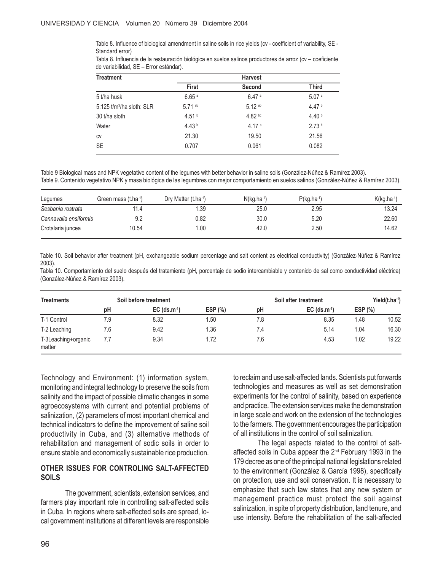Table 8. Influence of biological amendment in saline soils in rice yields (cv - coefficient of variability, SE - Standard error)

| Tabla 8. Influencia de la restauración biológica en suelos salinos productores de arroz (cv – coeficiente |  |  |  |
|-----------------------------------------------------------------------------------------------------------|--|--|--|
| de variabilidad, SE - Error estándar).                                                                    |  |  |  |

| <b>Treatment</b>           |                   | <b>Harvest</b>    |                   |
|----------------------------|-------------------|-------------------|-------------------|
|                            | <b>First</b>      | Second            | Third             |
| 5 t/ha husk                | 6.65 <sup>a</sup> | 6.47a             | 5.07a             |
| 5:125 $t/m3/ha$ sloth: SLR | $5.71$ ab         | $5.12^{ab}$       | 4.47 $b$          |
| 30 t/ha sloth              | 4.51 $b$          | $4.82 \text{ pc}$ | 4.40 <sup>b</sup> |
| Water                      | 4.43 <sup>b</sup> | 4.17 <sup>c</sup> | 2.73 <sup>b</sup> |
| <b>CV</b>                  | 21.30             | 19.50             | 21.56             |
| <b>SE</b>                  | 0.707             | 0.061             | 0.082             |

Table 9 Biological mass and NPK vegetative content of the legumes with better behavior in saline soils (González-Núñez & Ramírez 2003). Table 9. Contenido vegetativo NPK y masa biológica de las legumbres con mejor comportamiento en suelos salinos (González-Núñez & Ramírez 2003).

| Legumes               | Green mass (t.ha <sup>-1</sup> ) | Dry Matter (t.ha <sup>-1</sup> ) | $N(kg, ha^{-1})$ | $P(kg, ha^{-1})$ | $K(kg.ha^{-1})$ |
|-----------------------|----------------------------------|----------------------------------|------------------|------------------|-----------------|
| Sesbania rostrata     | 11.4                             | .39                              | 25.0             | 2.95             | 13.24           |
| Cannavalia ensiformis | 9.2                              | 0.82                             | 30.0             | 5.20             | 22.60           |
| Crotalaria juncea     | 10.54                            | 0.00                             | 42.0             | 2.50             | 14.62           |

Table 10. Soil behavior after treatment (pH, exchangeable sodium percentage and salt content as electrical conductivity) (González-Núñez & Ramírez 2003).

Tabla 10. Comportamiento del suelo después del tratamiento (pH, porcentaje de sodio intercambiable y contenido de sal como conductividad eléctrica) (González-Núñez & Ramírez 2003).

| <b>Treatments</b>             |     | Soil before treatment      |         |     | Soil after treatment       |            | Yield(t.ha <sup>-1</sup> ) |
|-------------------------------|-----|----------------------------|---------|-----|----------------------------|------------|----------------------------|
|                               | рH  | $EC$ (ds.m <sup>-1</sup> ) | ESP (%) | pH  | $EC$ (ds.m <sup>-1</sup> ) | ESP $(\%)$ |                            |
| T-1 Control                   | 7.9 | 8.32                       | .50     | 7.8 | 8.35                       | 1.48       | 10.52                      |
| T-2 Leaching                  | 7.6 | 9.42                       | 1.36    | 7.4 | 5.14                       | 1.04       | 16.30                      |
| T-3Leaching+organic<br>matter | 7.7 | 9.34                       | 1.72    | 7.6 | 4.53                       | 1.02       | 19.22                      |

Technology and Environment: (1) information system, monitoring and integral technology to preserve the soils from salinity and the impact of possible climatic changes in some agroecosystems with current and potential problems of salinization, (2) parameters of most important chemical and technical indicators to define the improvement of saline soil productivity in Cuba, and (3) alternative methods of rehabilitation and management of sodic soils in order to ensure stable and economically sustainable rice production.

#### **OTHER ISSUES FOR CONTROLING SALT-AFFECTED SOILS**

The government, scientists, extension services, and farmers play important role in controlling salt-affected soils in Cuba. In regions where salt-affected soils are spread, local government institutions at different levels are responsible

to reclaim and use salt-affected lands. Scientists put forwards technologies and measures as well as set demonstration experiments for the control of salinity, based on experience and practice. The extension services make the demonstration in large scale and work on the extension of the technologies to the farmers. The government encourages the participation of all institutions in the control of soil salinization.

The legal aspects related to the control of saltaffected soils in Cuba appear the 2<sup>nd</sup> February 1993 in the 179 decree as one of the principal national legislations related to the environment (González & García 1998), specifically on protection, use and soil conservation. It is necessary to emphasize that such law states that any new system or management practice must protect the soil against salinization, in spite of property distribution, land tenure, and use intensity. Before the rehabilitation of the salt-affected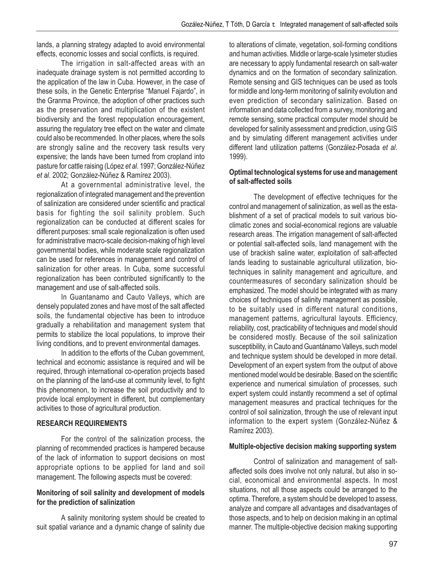lands, a planning strategy adapted to avoid environmental effects, economic losses and social conflicts, is required.

The irrigation in salt-affected areas with an inadequate drainage system is not permitted according to the application of the law in Cuba. However, in the case of these soils, in the Genetic Enterprise "Manuel Fajardo", in the Granma Province, the adoption of other practices such as the preservation and multiplication of the existent biodiversity and the forest repopulation encouragement, assuring the regulatory tree effect on the water and climate could also be recommended. In other places, where the soils are strongly saline and the recovery task results very expensive; the lands have been turned from cropland into pasture for cattle raising (López *et al*. 1997; González-Núñez *et al*. 2002; González-Núñez & Ramírez 2003).

At a governmental administrative level, the regionalization of integrated management and the prevention of salinization are considered under scientific and practical basis for fighting the soil salinity problem. Such regionalization can be conducted at different scales for different purposes: small scale regionalization is often used for administrative macro-scale decision-making of high level governmental bodies, while moderate scale regionalization can be used for references in management and control of salinization for other areas. In Cuba, some successful regionalization has been contributed significantly to the management and use of salt-affected soils.

In Guantanamo and Cauto Valleys, which are densely populated zones and have most of the salt affected soils, the fundamental objective has been to introduce gradually a rehabilitation and management system that permits to stabilize the local populations, to improve their living conditions, and to prevent environmental damages.

In addition to the efforts of the Cuban government, technical and economic assistance is required and will be required, through international co-operation projects based on the planning of the land-use at community level, to fight this phenomenon, to increase the soil productivity and to provide local employment in different, but complementary activities to those of agricultural production.

## **RESEARCH REQUIREMENTS**

For the control of the salinization process, the planning of recommended practices is hampered because of the lack of information to support decisions on most appropriate options to be applied for land and soil management. The following aspects must be covered:

#### **Monitoring of soil salinity and development of models for the prediction of salinization**

A salinity monitoring system should be created to suit spatial variance and a dynamic change of salinity due to alterations of climate, vegetation, soil-forming conditions and human activities. Middle or large-scale lysimeter studies are necessary to apply fundamental research on salt-water dynamics and on the formation of secondary salinization. Remote sensing and GIS techniques can be used as tools for middle and long-term monitoring of salinity evolution and even prediction of secondary salinization. Based on information and data collected from a survey, monitoring and remote sensing, some practical computer model should be developed for salinity assessment and prediction, using GIS and by simulating different management activities under different land utilization patterns (González-Posada *et al*. 1999).

## **Optimal technological systems for use and management of salt-affected soils**

The development of effective techniques for the control and management of salinization, as well as the establishment of a set of practical models to suit various bioclimatic zones and social-economical regions are valuable research areas. The irrigation management of salt-affected or potential salt-affected soils, land management with the use of brackish saline water, exploitation of salt-affected lands leading to sustainable agricultural utilization, biotechniques in salinity management and agriculture, and countermeasures of secondary salinization should be emphasized. The model should be integrated with as many choices of techniques of salinity management as possible, to be suitably used in different natural conditions, management patterns, agricultural layouts. Efficiency, reliability, cost, practicability of techniques and model should be considered mostly. Because of the soil salinization susceptibility, in Cauto and Guantánamo Valleys, such model and technique system should be developed in more detail. Development of an expert system from the output of above mentioned model would be desirable. Based on the scientific experience and numerical simulation of processes, such expert system could instantly recommend a set of optimal management measures and practical techniques for the control of soil salinization, through the use of relevant input information to the expert system (González-Núñez & Ramírez 2003).

#### **Multiple-objective decision making supporting system**

Control of salinization and management of saltaffected soils does involve not only natural, but also in social, economical and environmental aspects. In most situations, not all those aspects could be arranged to the optima. Therefore, a system should be developed to assess, analyze and compare all advantages and disadvantages of those aspects, and to help on decision making in an optimal manner. The multiple-objective decision making supporting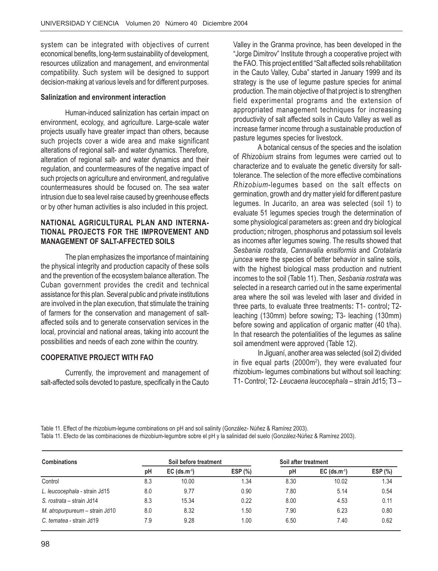system can be integrated with objectives of current economical benefits, long-term sustainability of development, resources utilization and management, and environmental compatibility. Such system will be designed to support decision-making at various levels and for different purposes.

#### **Salinization and environment interaction**

Human-induced salinization has certain impact on environment, ecology, and agriculture. Large-scale water projects usually have greater impact than others, because such projects cover a wide area and make significant alterations of regional salt- and water dynamics. Therefore, alteration of regional salt- and water dynamics and their regulation, and countermeasures of the negative impact of such projects on agriculture and environment, and regulative countermeasures should be focused on. The sea water intrusion due to sea level raise caused by greenhouse effects or by other human activities is also included in this project.

#### **NATIONAL AGRICULTURAL PLAN AND INTERNA-TIONAL PROJECTS FOR THE IMPROVEMENT AND MANAGEMENT OF SALT-AFFECTED SOILS**

The plan emphasizes the importance of maintaining the physical integrity and production capacity of these soils and the prevention of the ecosystem balance alteration. The Cuban government provides the credit and technical assistance for this plan. Several public and private institutions are involved in the plan execution, that stimulate the training of farmers for the conservation and management of saltaffected soils and to generate conservation services in the local, provincial and national areas, taking into account the possibilities and needs of each zone within the country.

#### **COOPERATIVE PROJECT WITH FAO**

Currently, the improvement and management of salt-affected soils devoted to pasture, specifically in the Cauto Valley in the Granma province, has been developed in the "Jorge Dimitrov" Institute through a cooperative project with the FAO. This project entitled "Salt affected soils rehabilitation in the Cauto Valley, Cuba" started in January 1999 and its strategy is the use of legume pasture species for animal production. The main objective of that project is to strengthen field experimental programs and the extension of appropriated management techniques for increasing productivity of salt affected soils in Cauto Valley as well as increase farmer income through a sustainable production of pasture legumes species for livestock.

A botanical census of the species and the isolation of *Rhizobium* strains from legumes were carried out to characterize and to evaluate the genetic diversity for salttolerance. The selection of the more effective combinations *Rhizobium*-legumes based on the salt effects on germination, growth and dry matter yield for different pasture legumes. In Jucarito, an area was selected (soil 1) to evaluate 51 legumes species trough the determination of some physiological parameters as: green and dry biological production; nitrogen, phosphorus and potassium soil levels as incomes after legumes sowing. The results showed that *Sesbania rostrata*, *Cannavalia ensiformis* and *Crotalaria juncea* were the species of better behavior in saline soils, with the highest biological mass production and nutrient incomes to the soil (Table 11). Then, *Sesbania rostrata* was selected in a research carried out in the same experimental area where the soil was leveled with laser and divided in three parts, to evaluate three treatments: T1- control; T2 leaching (130mm) before sowing; T3- leaching (130mm) before sowing and application of organic matter (40 t/ha). In that research the potentialities of the legumes as saline soil amendment were approved (Table 12).

In Jiguaní, another area was selected (soil 2) divided in five equal parts (2000m<sup>2</sup>), they were evaluated four rhizobium- legumes combinations but without soil leaching: T1- Control; T2- *Leucaena leucocephala* – strain Jd15; T3 –

Table 11. Effect of the rhizobium-legume combinations on pH and soil salinity (González- Núñez & Ramírez 2003). Tabla 11. Efecto de las combinaciones de rhizobium-legumbre sobre el pH y la salinidad del suelo (González-Núñez & Ramírez 2003).

| <b>Combinations</b>            |     | Soil before treatment      |         | Soil after treatment |                            |         |
|--------------------------------|-----|----------------------------|---------|----------------------|----------------------------|---------|
|                                | рH  | $EC$ (ds.m <sup>-1</sup> ) | ESP (%) | рH                   | $EC$ (ds.m <sup>-1</sup> ) | ESP (%) |
| Control                        | 8.3 | 10.00                      | 1.34    | 8.30                 | 10.02                      | 1.34    |
| L. leucocephala - strain Jd15  | 8.0 | 9.77                       | 0.90    | 7.80                 | 5.14                       | 0.54    |
| S. rostrata – strain Jd14      | 8.3 | 15.34                      | 0.22    | 8.00                 | 4.53                       | 0.11    |
| M. atropurpureum – strain Jd10 | 8.0 | 8.32                       | 1.50    | 7.90                 | 6.23                       | 0.80    |
| C. ternatea - strain Jd19      | 7.9 | 9.28                       | 1.00    | 6.50                 | 7.40                       | 0.62    |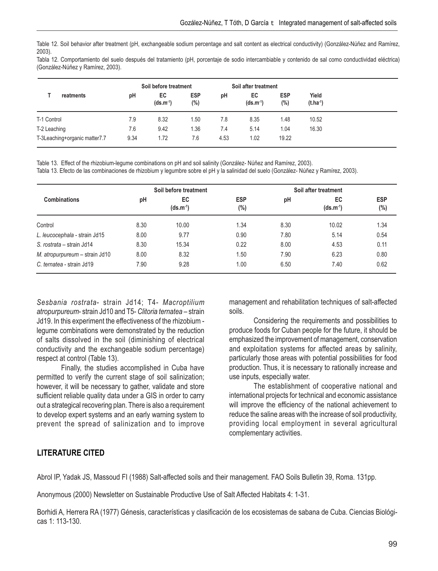Table 12. Soil behavior after treatment (pH, exchangeable sodium percentage and salt content as electrical conductivity) (González-Núñez and Ramírez, 2003).

Tabla 12. Comportamiento del suelo después del tratamiento (pH, porcentaje de sodio intercambiable y contenido de sal como conductividad eléctrica) (González-Núñez y Ramírez, 2003).

|                               |           |      | Soil before treatment |                   | Soil after treatment |                     |                      |                        |
|-------------------------------|-----------|------|-----------------------|-------------------|----------------------|---------------------|----------------------|------------------------|
|                               | reatments | pH   | EC<br>$(ds.m^{-1})$   | <b>ESP</b><br>(%) | рH                   | EC<br>$(ds.m^{-1})$ | <b>ESP</b><br>$(\%)$ | Yield<br>$(t.ha^{-1})$ |
| T-1 Control                   |           | 7.9  | 8.32                  | 1.50              | 7.8                  | 8.35                | 1.48                 | 10.52                  |
| T-2 Leaching                  |           | 7.6  | 9.42                  | 1.36              | 7.4                  | 5.14                | 1.04                 | 16.30                  |
| T-3Leaching+organic matter7.7 |           | 9.34 | 1.72                  | 7.6               | 4.53                 | 1.02                | 19.22                |                        |

Table 13. Effect of the rhizobium-legume combinations on pH and soil salinity (González- Núñez and Ramírez, 2003).

Tabla 13. Efecto de las combinaciones de rhizobium y legumbre sobre el pH y la salinidad del suelo (González- Núñez y Ramírez, 2003).

|                                |      | Soil before treatment |                   | Soil after treatment |                            |                      |  |  |  |
|--------------------------------|------|-----------------------|-------------------|----------------------|----------------------------|----------------------|--|--|--|
| <b>Combinations</b>            | pH   | EC<br>$(ds.m^{-1})$   | <b>ESP</b><br>(%) | pH                   | <b>EC</b><br>$(ds.m^{-1})$ | <b>ESP</b><br>$(\%)$ |  |  |  |
| Control                        | 8.30 | 10.00                 | 1.34              | 8.30                 | 10.02                      | 1.34                 |  |  |  |
| L. leucocephala - strain Jd15  | 8.00 | 9.77                  | 0.90              | 7.80                 | 5.14                       | 0.54                 |  |  |  |
| S. rostrata – strain Jd14      | 8.30 | 15.34                 | 0.22              | 8.00                 | 4.53                       | 0.11                 |  |  |  |
| M. atropurpureum - strain Jd10 | 8.00 | 8.32                  | 1.50              | 7.90                 | 6.23                       | 0.80                 |  |  |  |
| C. ternatea - strain Jd19      | 7.90 | 9.28                  | 1.00              | 6.50                 | 7.40                       | 0.62                 |  |  |  |

*Sesbania rostrata*- strain Jd14; T4- *Macroptilium atropurpureum*- strain Jd10 and T5- *Clitoria ternatea* – strain Jd19. In this experiment the effectiveness of the rhizobium legume combinations were demonstrated by the reduction of salts dissolved in the soil (diminishing of electrical conductivity and the exchangeable sodium percentage) respect at control (Table 13).

Finally, the studies accomplished in Cuba have permitted to verify the current stage of soil salinization; however, it will be necessary to gather, validate and store sufficient reliable quality data under a GIS in order to carry out a strategical recovering plan. There is also a requirement to develop expert systems and an early warning system to prevent the spread of salinization and to improve

management and rehabilitation techniques of salt-affected soils.

Considering the requirements and possibilities to produce foods for Cuban people for the future, it should be emphasized the improvement of management, conservation and exploitation systems for affected areas by salinity, particularly those areas with potential possibilities for food production. Thus, it is necessary to rationally increase and use inputs, especially water.

The establishment of cooperative national and international projects for technical and economic assistance will improve the efficiency of the national achievement to reduce the saline areas with the increase of soil productivity, providing local employment in several agricultural complementary activities.

## **LITERATURE CITED**

Abrol IP, Yadak JS, Massoud FI (1988) Salt-affected soils and their management. FAO Soils Bulletin 39, Roma. 131pp.

Anonymous (2000) Newsletter on Sustainable Productive Use of Salt Affected Habitats 4: 1-31.

Borhidi A, Herrera RA (1977) Génesis, características y clasificación de los ecosistemas de sabana de Cuba. Ciencias Biológicas 1: 113-130.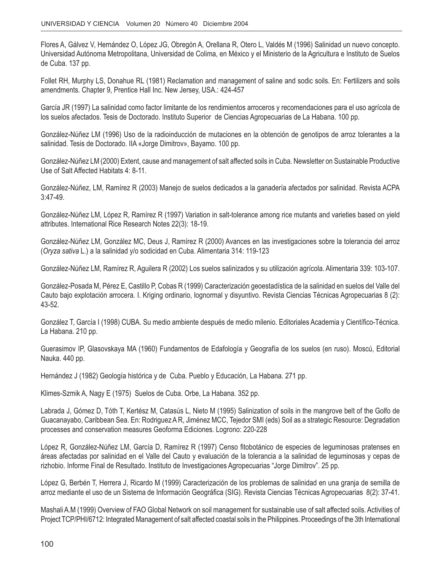Flores A, Gálvez V, Hernández O, López JG, Obregón A, Orellana R, Otero L, Valdés M (1996) Salinidad un nuevo concepto. Universidad Autónoma Metropolitana, Universidad de Colima, en México y el Ministerio de la Agricultura e Instituto de Suelos de Cuba. 137 pp.

Follet RH, Murphy LS, Donahue RL (1981) Reclamation and management of saline and sodic soils. En: Fertilizers and soils amendments. Chapter 9, Prentice Hall Inc. New Jersey, USA.: 424-457

García JR (1997) La salinidad como factor limitante de los rendimientos arroceros y recomendaciones para el uso agrícola de los suelos afectados. Tesis de Doctorado. Instituto Superior de Ciencias Agropecuarias de La Habana. 100 pp.

González-Núñez LM (1996) Uso de la radioinducción de mutaciones en la obtención de genotipos de arroz tolerantes a la salinidad. Tesis de Doctorado. IIA «Jorge Dimitrov», Bayamo. 100 pp.

González-Núñez LM (2000) Extent, cause and management of salt affected soils in Cuba. Newsletter on Sustainable Productive Use of Salt Affected Habitats 4: 8-11.

González-Núñez, LM, Ramírez R (2003) Manejo de suelos dedicados a la ganadería afectados por salinidad. Revista ACPA 3:47-49.

González-Núñez LM, López R, Ramírez R (1997) Variation in salt-tolerance among rice mutants and varieties based on yield attributes. International Rice Research Notes 22(3): 18-19.

González-Núñez LM, González MC, Deus J, Ramírez R (2000) Avances en las investigaciones sobre la tolerancia del arroz (*Oryza sativa* L.) a la salinidad y/o sodicidad en Cuba. Alimentaria 314: 119-123

González-Núñez LM, Ramírez R, Aguilera R (2002) Los suelos salinizados y su utilización agrícola. Alimentaria 339: 103-107.

González-Posada M, Pérez E, Castillo P, Cobas R (1999) Caracterización geoestadística de la salinidad en suelos del Valle del Cauto bajo explotación arrocera. I. Kriging ordinario, lognormal y disyuntivo. Revista Ciencias Técnicas Agropecuarias 8 (2): 43-52.

González T, García I (1998) CUBA. Su medio ambiente después de medio milenio. Editoriales Academia y Científico-Técnica. La Habana. 210 pp.

Guerasimov IP, Glasovskaya MA (1960) Fundamentos de Edafología y Geografía de los suelos (en ruso). Moscú, Editorial Nauka. 440 pp.

Hernández J (1982) Geología histórica y de Cuba. Pueblo y Educación, La Habana. 271 pp.

Klimes-Szmik A, Nagy E (1975) Suelos de Cuba. Orbe, La Habana. 352 pp.

Labrada J, Gómez D, Tóth T, Kertész M, Catasús L, Nieto M (1995) Salinization of soils in the mangrove belt of the Golfo de Guacanayabo, Caribbean Sea. En: Rodriguez A R, Jiménez MCC, Tejedor SMI (eds) Soil as a strategic Resource: Degradation processes and conservation measures Geoforma Ediciones. Logrono: 220-228

López R, González-Núñez LM, García D, Ramírez R (1997) Censo fitobotánico de especies de leguminosas pratenses en áreas afectadas por salinidad en el Valle del Cauto y evaluación de la tolerancia a la salinidad de leguminosas y cepas de rizhobio. Informe Final de Resultado. Instituto de Investigaciones Agropecuarias "Jorge Dimitrov". 25 pp.

López G, Berbén T, Herrera J, Ricardo M (1999) Caracterización de los problemas de salinidad en una granja de semilla de arroz mediante el uso de un Sistema de Información Geográfica (SIG). Revista Ciencias Técnicas Agropecuarias 8(2): 37-41.

Mashali A.M (1999) Overview of FAO Global Network on soil management for sustainable use of salt affected soils. Activities of Project TCP/PHI/6712: Integrated Management of salt affected coastal soils in the Philippines. Proceedings of the 3th International